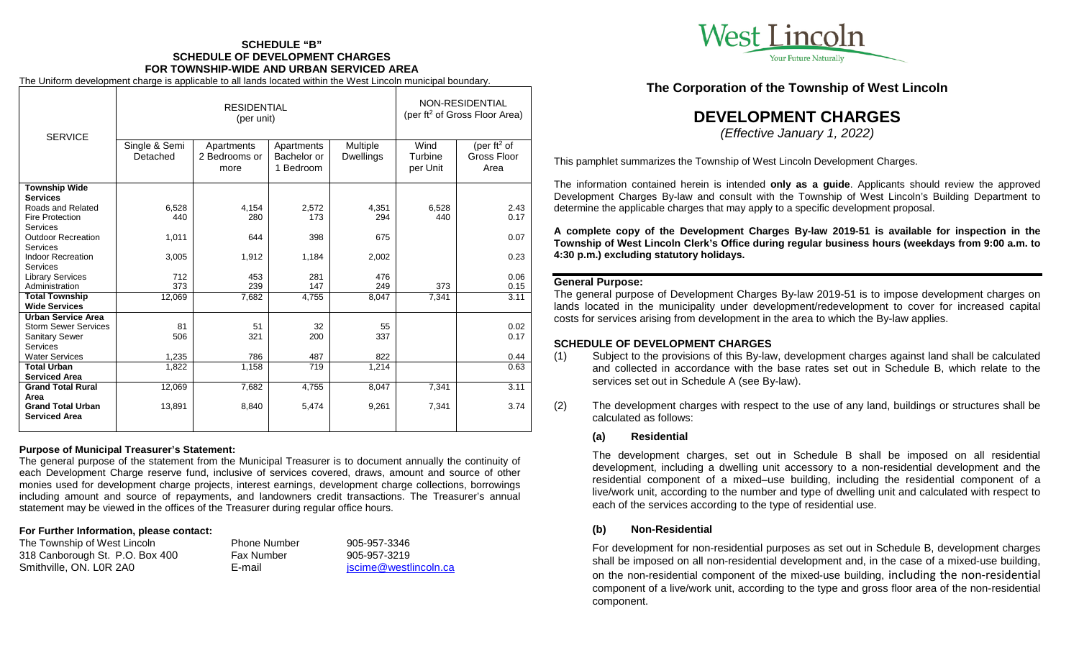# **SCHEDULE "B" SCHEDULE OF DEVELOPMENT CHARGES FOR TOWNSHIP-WIDE AND URBAN SERVICED AREA**

The Uniform development charge is applicable to all lands located within the West Lincoln municipal boundary.

|                             | <b>RESIDENTIAL</b><br>(per unit) |                                     |                                        |                              | NON-RESIDENTIAL<br>(per ft <sup>2</sup> of Gross Floor Area) |                                                |
|-----------------------------|----------------------------------|-------------------------------------|----------------------------------------|------------------------------|--------------------------------------------------------------|------------------------------------------------|
| <b>SERVICE</b>              | Single & Semi<br>Detached        | Apartments<br>2 Bedrooms or<br>more | Apartments<br>Bachelor or<br>1 Bedroom | Multiple<br><b>Dwellings</b> | Wind<br>Turbine<br>per Unit                                  | (per ft <sup>2</sup> of<br>Gross Floor<br>Area |
| <b>Township Wide</b>        |                                  |                                     |                                        |                              |                                                              |                                                |
| <b>Services</b>             |                                  |                                     |                                        |                              |                                                              |                                                |
| Roads and Related           | 6,528                            | 4,154                               | 2.572                                  | 4,351                        | 6,528                                                        | 2.43                                           |
| <b>Fire Protection</b>      | 440                              | 280                                 | 173                                    | 294                          | 440                                                          | 0.17                                           |
| <b>Services</b>             |                                  |                                     |                                        |                              |                                                              |                                                |
| <b>Outdoor Recreation</b>   | 1,011                            | 644                                 | 398                                    | 675                          |                                                              | 0.07                                           |
| <b>Services</b>             |                                  |                                     |                                        |                              |                                                              |                                                |
| <b>Indoor Recreation</b>    | 3,005                            | 1.912                               | 1,184                                  | 2,002                        |                                                              | 0.23                                           |
| <b>Services</b>             |                                  |                                     |                                        |                              |                                                              |                                                |
| <b>Library Services</b>     | 712                              | 453                                 | 281                                    | 476                          |                                                              | 0.06                                           |
| Administration              | 373                              | 239                                 | 147                                    | 249                          | 373                                                          | 0.15                                           |
| <b>Total Township</b>       | 12,069                           | 7,682                               | 4,755                                  | 8,047                        | 7,341                                                        | 3.11                                           |
| <b>Wide Services</b>        |                                  |                                     |                                        |                              |                                                              |                                                |
| <b>Urban Service Area</b>   |                                  |                                     |                                        |                              |                                                              |                                                |
| <b>Storm Sewer Services</b> | 81                               | 51                                  | 32                                     | 55                           |                                                              | 0.02                                           |
| <b>Sanitary Sewer</b>       | 506                              | 321                                 | 200                                    | 337                          |                                                              | 0.17                                           |
| Services                    |                                  |                                     |                                        |                              |                                                              |                                                |
| <b>Water Services</b>       | 1,235                            | 786                                 | 487                                    | 822                          |                                                              | 0.44                                           |
| <b>Total Urban</b>          | 1,822                            | 1,158                               | 719                                    | 1,214                        |                                                              | 0.63                                           |
| <b>Serviced Area</b>        |                                  |                                     |                                        |                              |                                                              |                                                |
| <b>Grand Total Rural</b>    | 12,069                           | 7,682                               | 4,755                                  | 8,047                        | 7,341                                                        | 3.11                                           |
| Area                        |                                  |                                     |                                        |                              |                                                              |                                                |
| <b>Grand Total Urban</b>    | 13,891                           | 8,840                               | 5,474                                  | 9,261                        | 7,341                                                        | 3.74                                           |
| <b>Serviced Area</b>        |                                  |                                     |                                        |                              |                                                              |                                                |
|                             |                                  |                                     |                                        |                              |                                                              |                                                |

### **Purpose of Municipal Treasurer's Statement:**

The general purpose of the statement from the Municipal Treasurer is to document annually the continuity of each Development Charge reserve fund, inclusive of services covered, draws, amount and source of other monies used for development charge projects, interest earnings, development charge collections, borrowings including amount and source of repayments, and landowners credit transactions. The Treasurer's annual statement may be viewed in the offices of the Treasurer during regular office hours.

#### **For Further Information, please contact:**

| The Township of West Lincoln    | <b>Phone Number</b> | 905-957-3346          |
|---------------------------------|---------------------|-----------------------|
| 318 Canborough St. P.O. Box 400 | <b>Fax Number</b>   | 905-957-3219          |
| Smithville, ON. L0R 2A0         | E-mail              | jscime@westlincoln.ca |



**The Corporation of the Township of West Lincoln**

# **DEVELOPMENT CHARGES**

*(Effective January 1, 2022)*

This pamphlet summarizes the Township of West Lincoln Development Charges.

The information contained herein is intended **only as a guide**. Applicants should review the approved Development Charges By-law and consult with the Township of West Lincoln's Building Department to determine the applicable charges that may apply to a specific development proposal.

**A complete copy of the Development Charges By-law 2019-51 is available for inspection in the Township of West Lincoln Clerk's Office during regular business hours (weekdays from 9:00 a.m. to 4:30 p.m.) excluding statutory holidays.**

### **General Purpose:**

The general purpose of Development Charges By-law 2019-51 is to impose development charges on lands located in the municipality under development/redevelopment to cover for increased capital costs for services arising from development in the area to which the By-law applies.

## **SCHEDULE OF DEVELOPMENT CHARGES**

- (1) Subject to the provisions of this By-law, development charges against land shall be calculated and collected in accordance with the base rates set out in Schedule B, which relate to the services set out in Schedule A (see By-law).
- (2) The development charges with respect to the use of any land, buildings or structures shall be calculated as follows:

### **(a) Residential**

The development charges, set out in Schedule B shall be imposed on all residential development, including a dwelling unit accessory to a non-residential development and the residential component of a mixed–use building, including the residential component of a live/work unit, according to the number and type of dwelling unit and calculated with respect to each of the services according to the type of residential use.

## **(b) Non-Residential**

For development for non-residential purposes as set out in Schedule B, development charges shall be imposed on all non-residential development and, in the case of a mixed-use building, on the non-residential component of the mixed-use building, including the non-residential component of a live/work unit, according to the type and gross floor area of the non-residential component.